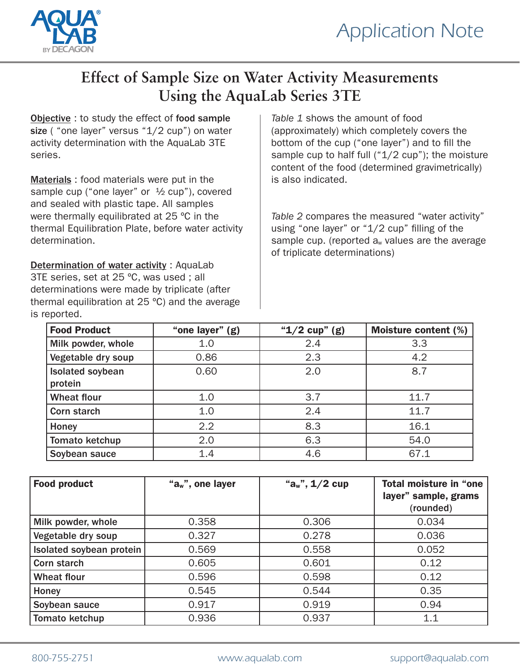



## **Effect of Sample Size on Water Activity Measurements Using the AquaLab Series 3TE**

Objective : to study the effect of food sample size ( "one layer" versus "1/2 cup") on water activity determination with the AquaLab 3TE series.

Materials : food materials were put in the sample cup ("one layer" or  $\frac{1}{2}$  cup"), covered and sealed with plastic tape. All samples were thermally equilibrated at 25 ºC in the thermal Equilibration Plate, before water activity determination.

Determination of water activity : AquaLab 3TE series, set at 25 ºC, was used ; all determinations were made by triplicate (after thermal equilibration at 25 ºC) and the average is reported.

*Table 1* shows the amount of food (approximately) which completely covers the bottom of the cup ("one layer") and to fill the sample cup to half full  $("1/2 cup")$ ; the moisture content of the food (determined gravimetrically) is also indicated.

*Table 2* compares the measured "water activity" using "one layer" or "1/2 cup" filling of the sample cup. (reported  $a_w$  values are the average of triplicate determinations)

| <b>Food Product</b>     | "one layer" (g) | " $1/2$ cup" (g) | <b>Moisture content (%)</b> |
|-------------------------|-----------------|------------------|-----------------------------|
| Milk powder, whole      | 1.0             | 2.4              | 3.3                         |
| Vegetable dry soup      | 0.86            | 2.3              | 4.2                         |
| <b>Isolated soybean</b> | 0.60            | 2.0              | 8.7                         |
| protein                 |                 |                  |                             |
| <b>Wheat flour</b>      | 1.0             | 3.7              | 11.7                        |
| Corn starch             | 1.0             | 2.4              | 11.7                        |
| Honey                   | 2.2             | 8.3              | 16.1                        |
| Tomato ketchup          | 2.0             | 6.3              | 54.0                        |
| Soybean sauce           | 1.4             | 4.6              | 67.1                        |

| <b>Food product</b>      | " $a_w$ ", one layer | " $a_w$ ", $1/2$ cup | Total moisture in "one<br>layer" sample, grams |
|--------------------------|----------------------|----------------------|------------------------------------------------|
|                          |                      |                      | (rounded)                                      |
| Milk powder, whole       | 0.358                | 0.306                | 0.034                                          |
| Vegetable dry soup       | 0.327                | 0.278                | 0.036                                          |
| Isolated soybean protein | 0.569                | 0.558                | 0.052                                          |
| Corn starch              | 0.605                | 0.601                | 0.12                                           |
| <b>Wheat flour</b>       | 0.596                | 0.598                | 0.12                                           |
| Honey                    | 0.545                | 0.544                | 0.35                                           |
| Soybean sauce            | 0.917                | 0.919                | 0.94                                           |
| Tomato ketchup           | 0.936                | 0.937                | 1.1                                            |